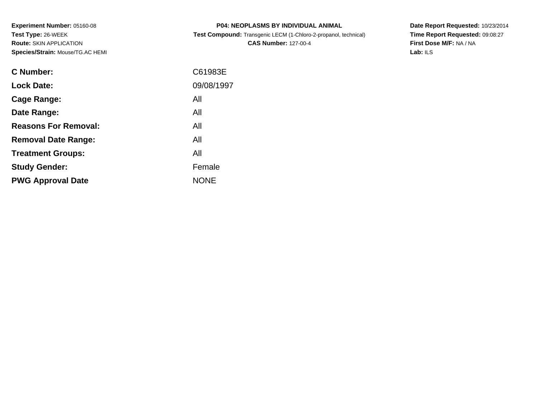**Experiment Number:** 05160-08**Test Type:** 26-WEEK **Route:** SKIN APPLICATION**Species/Strain:** Mouse/TG.AC HEMI

| <b>P04: NEOPLASMS BY INDIVIDUAL ANIMAL</b>                             |  |
|------------------------------------------------------------------------|--|
| <b>Test Compound:</b> Transgenic LECM (1-Chloro-2-propanol, technical) |  |

**CAS Number:** 127-00-4

**Date Report Requested:** 10/23/2014 **Time Report Requested:** 09:08:27**First Dose M/F:** NA / NA**Lab:** ILS

| <b>C</b> Number:            | C61983E     |
|-----------------------------|-------------|
| <b>Lock Date:</b>           | 09/08/1997  |
| Cage Range:                 | All         |
| Date Range:                 | All         |
| <b>Reasons For Removal:</b> | All         |
| <b>Removal Date Range:</b>  | All         |
| <b>Treatment Groups:</b>    | All         |
| <b>Study Gender:</b>        | Female      |
| <b>PWG Approval Date</b>    | <b>NONE</b> |
|                             |             |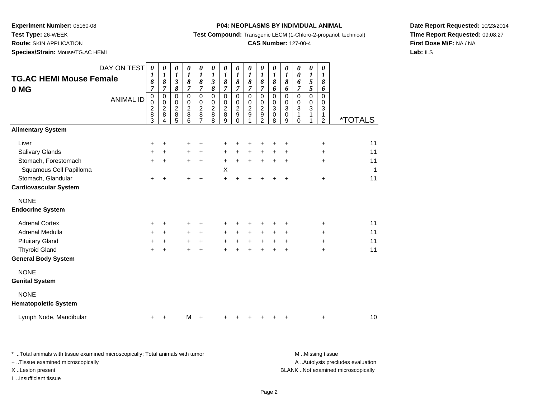**Test Type:** 26-WEEK

**Route:** SKIN APPLICATION

**Species/Strain:** Mouse/TG.AC HEMI

#### **P04: NEOPLASMS BY INDIVIDUAL ANIMAL**

**Test Compound:** Transgenic LECM (1-Chloro-2-propanol, technical)

### **CAS Number:** 127-00-4

**Date Report Requested:** 10/23/2014**Time Report Requested:** 09:08:27**First Dose M/F:** NA / NA**Lab:** ILS

| DAY ON TEST                                | $\pmb{\theta}$<br>1                          | $\boldsymbol{\theta}$<br>1                                   | 0<br>1                                       | 0<br>$\boldsymbol{l}$                        | 0<br>$\boldsymbol{l}$                     | 0<br>$\boldsymbol{l}$                              | 0<br>$\boldsymbol{l}$                        | 0<br>1                                     | $\pmb{\theta}$<br>$\boldsymbol{l}$ | $\pmb{\theta}$<br>1                | 0<br>1                          | 0<br>1                | 0<br>0                                 | 0<br>1                          | 0<br>1                                    |                       |
|--------------------------------------------|----------------------------------------------|--------------------------------------------------------------|----------------------------------------------|----------------------------------------------|-------------------------------------------|----------------------------------------------------|----------------------------------------------|--------------------------------------------|------------------------------------|------------------------------------|---------------------------------|-----------------------|----------------------------------------|---------------------------------|-------------------------------------------|-----------------------|
| <b>TG.AC HEMI Mouse Female</b>             | 8<br>7                                       | 8<br>7                                                       | $\mathfrak{z}$<br>8                          | 8<br>$\overline{7}$                          | 8<br>$\overline{7}$                       | $\boldsymbol{\beta}$<br>8                          | $\pmb{8}$<br>7                               | 8<br>$\overline{7}$                        | 8<br>7                             | 8<br>7                             | 8<br>6                          | 8<br>6                | 6<br>7                                 | 5<br>5                          | 8<br>6                                    |                       |
| 0 MG<br><b>ANIMAL ID</b>                   | $\mathbf 0$<br>0<br>$\overline{c}$<br>8<br>3 | $\mathbf 0$<br>$\mathbf 0$<br>$\overline{2}$<br>$\,8\,$<br>4 | $\mathbf 0$<br>0<br>$\overline{c}$<br>8<br>5 | $\mathbf 0$<br>0<br>$\overline{2}$<br>8<br>6 | $\Omega$<br>0<br>$\overline{c}$<br>8<br>7 | $\mathbf 0$<br>0<br>$\overline{2}$<br>$\,8\,$<br>8 | $\mathbf 0$<br>0<br>$\overline{c}$<br>8<br>9 | $\pmb{0}$<br>0<br>$\overline{c}$<br>9<br>0 | 0<br>0<br>$\overline{2}$<br>9      | 0<br>0<br>$\overline{c}$<br>9<br>2 | $\mathbf 0$<br>0<br>3<br>0<br>8 | 0<br>0<br>3<br>0<br>9 | $\mathbf 0$<br>0<br>3<br>1<br>$\Omega$ | $\mathbf 0$<br>0<br>3<br>1<br>1 | $\Omega$<br>0<br>3<br>1<br>$\overline{2}$ | <i><b>*TOTALS</b></i> |
| <b>Alimentary System</b>                   |                                              |                                                              |                                              |                                              |                                           |                                                    |                                              |                                            |                                    |                                    |                                 |                       |                                        |                                 |                                           |                       |
| Liver                                      | $\ddot{}$                                    | $\ddot{}$                                                    |                                              | +                                            | +                                         |                                                    | +                                            |                                            |                                    |                                    | +                               | +                     |                                        |                                 | $\ddot{}$                                 | 11                    |
| <b>Salivary Glands</b>                     | +                                            | $\ddot{}$                                                    |                                              | $\ddot{}$                                    | $\ddot{}$                                 |                                                    | $\ddot{}$                                    | $\ddot{}$                                  | +                                  | $\ddot{}$                          | +                               | +                     |                                        |                                 | $\ddot{}$                                 | 11                    |
| Stomach, Forestomach                       | $\ddot{}$                                    | $\ddot{}$                                                    |                                              | $\ddot{}$                                    | $\ddot{}$                                 |                                                    | $\ddot{}$                                    | $+$                                        | $\ddot{}$                          | $\ddot{}$                          | $\ddot{}$                       | $\ddot{}$             |                                        |                                 | $\ddot{}$                                 | 11                    |
| Squamous Cell Papilloma                    |                                              |                                                              |                                              |                                              |                                           |                                                    | X                                            |                                            |                                    |                                    |                                 |                       |                                        |                                 |                                           | $\overline{1}$        |
| Stomach, Glandular                         | $\ddot{}$                                    | +                                                            |                                              | $\pm$                                        | $\ddot{}$                                 |                                                    | $\ddot{}$                                    | $\ddot{}$                                  |                                    |                                    |                                 | $\ddot{}$             |                                        |                                 | $\ddot{}$                                 | 11                    |
| <b>Cardiovascular System</b>               |                                              |                                                              |                                              |                                              |                                           |                                                    |                                              |                                            |                                    |                                    |                                 |                       |                                        |                                 |                                           |                       |
| <b>NONE</b>                                |                                              |                                                              |                                              |                                              |                                           |                                                    |                                              |                                            |                                    |                                    |                                 |                       |                                        |                                 |                                           |                       |
| <b>Endocrine System</b>                    |                                              |                                                              |                                              |                                              |                                           |                                                    |                                              |                                            |                                    |                                    |                                 |                       |                                        |                                 |                                           |                       |
| <b>Adrenal Cortex</b>                      | +                                            | $\ddot{}$                                                    |                                              | +                                            | +                                         |                                                    | +                                            |                                            |                                    |                                    |                                 | +                     |                                        |                                 | $\ddot{}$                                 | 11                    |
| <b>Adrenal Medulla</b>                     | +                                            | $\ddot{}$                                                    |                                              | $\ddot{}$                                    | $\ddot{}$                                 |                                                    | $\ddot{}$                                    | $+$                                        | $\ddot{}$                          | $\ddot{}$                          | $\ddot{}$                       | +                     |                                        |                                 | $+$                                       | 11                    |
| <b>Pituitary Gland</b>                     | ÷                                            | +                                                            |                                              | $\ddot{}$                                    | $\ddot{}$                                 |                                                    | $\ddot{}$                                    | $+$                                        | $\ddot{}$                          | +                                  | +                               | +                     |                                        |                                 | $\ddot{}$                                 | 11                    |
| <b>Thyroid Gland</b>                       | $\ddot{}$                                    | $\ddot{}$                                                    |                                              | +                                            | +                                         |                                                    | $\ddot{}$                                    | $\ddot{}$                                  |                                    | $\ddot{}$                          |                                 | $\ddot{}$             |                                        |                                 | $\ddot{}$                                 | 11                    |
| <b>General Body System</b>                 |                                              |                                                              |                                              |                                              |                                           |                                                    |                                              |                                            |                                    |                                    |                                 |                       |                                        |                                 |                                           |                       |
| <b>NONE</b>                                |                                              |                                                              |                                              |                                              |                                           |                                                    |                                              |                                            |                                    |                                    |                                 |                       |                                        |                                 |                                           |                       |
| <b>Genital System</b>                      |                                              |                                                              |                                              |                                              |                                           |                                                    |                                              |                                            |                                    |                                    |                                 |                       |                                        |                                 |                                           |                       |
| <b>NONE</b><br><b>Hematopoietic System</b> |                                              |                                                              |                                              |                                              |                                           |                                                    |                                              |                                            |                                    |                                    |                                 |                       |                                        |                                 |                                           |                       |
| Lymph Node, Mandibular                     | $\ddot{}$                                    | ÷                                                            |                                              | м                                            | $\ddot{}$                                 |                                                    |                                              |                                            |                                    |                                    |                                 |                       |                                        |                                 | $\ddot{}$                                 | 10                    |

\* ..Total animals with tissue examined microscopically; Total animals with tumor **M** . Missing tissue M ..Missing tissue A ..Autolysis precludes evaluation + ..Tissue examined microscopically X ..Lesion present BLANK ..Not examined microscopicallyI ..Insufficient tissue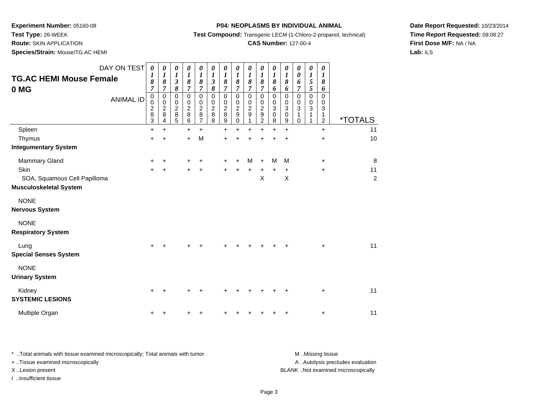**Test Type:** 26-WEEK

**Route:** SKIN APPLICATION

**Species/Strain:** Mouse/TG.AC HEMI

#### **P04: NEOPLASMS BY INDIVIDUAL ANIMAL**

**Test Compound:** Transgenic LECM (1-Chloro-2-propanol, technical)

### **CAS Number:** 127-00-4

**Date Report Requested:** 10/23/2014**Time Report Requested:** 09:08:27**First Dose M/F:** NA / NA**Lab:** ILS

| DAY ON TEST<br><b>TG.AC HEMI Mouse Female</b><br>0 MG<br><b>ANIMAL ID</b> | 0<br>1<br>8<br>$\boldsymbol{7}$<br>$\mathbf 0$<br>0<br>2<br>8 | 0<br>1<br>8<br>7<br>0<br>$\mathbf 0$<br>$\overline{c}$<br>8 | 0<br>1<br>3<br>$\pmb{8}$<br>0<br>0<br>2<br>8 | 0<br>$\boldsymbol{l}$<br>$\pmb{8}$<br>$\overline{7}$<br>0<br>0<br>$\overline{\mathbf{c}}$<br>8 | $\theta$<br>1<br>8<br>7<br>0<br>0<br>$\overline{\mathbf{c}}$<br>8 | 0<br>1<br>$\mathfrak{z}$<br>8<br>$\mathbf 0$<br>0<br>$\overline{c}$<br>8 | $\theta$<br>1<br>8<br>7<br>0<br>0<br>2<br>8 | 0<br>$\boldsymbol{l}$<br>$\pmb{8}$<br>$\overline{7}$<br>0<br>0<br>2<br>9 | 0<br>1<br>8<br>7<br>0<br>0<br>2<br>9 | 0<br>1<br>$\pmb{8}$<br>$\overline{7}$<br>0<br>0<br>$\overline{\mathbf{c}}$<br>$\boldsymbol{9}$ | 0<br>1<br>8<br>6<br>0<br>0<br>3<br>0 | 0<br>1<br>$\pmb{8}$<br>6<br>0<br>0<br>3<br>0 | 0<br>0<br>6<br>7<br>0<br>0<br>3 | 0<br>1<br>5<br>5<br>$\mathbf 0$<br>0<br>3 | 0<br>1<br>8<br>6<br>0<br>0<br>3<br>1 |                       |
|---------------------------------------------------------------------------|---------------------------------------------------------------|-------------------------------------------------------------|----------------------------------------------|------------------------------------------------------------------------------------------------|-------------------------------------------------------------------|--------------------------------------------------------------------------|---------------------------------------------|--------------------------------------------------------------------------|--------------------------------------|------------------------------------------------------------------------------------------------|--------------------------------------|----------------------------------------------|---------------------------------|-------------------------------------------|--------------------------------------|-----------------------|
|                                                                           | 3                                                             | 4                                                           | 5                                            | 6                                                                                              | 7                                                                 | 8                                                                        | 9                                           | 0                                                                        |                                      | 2                                                                                              | 8                                    | 9                                            | 0                               |                                           | 2                                    | <i><b>*TOTALS</b></i> |
| Spleen                                                                    | $\ddot{}$                                                     | $\ddot{}$                                                   |                                              | $\ddot{}$<br>$\ddot{}$                                                                         | $\ddot{}$<br>M                                                    |                                                                          | $\ddot{}$                                   | $\ddot{}$                                                                | $\ddot{}$                            | Ŧ.                                                                                             | $\ddot{}$                            | $\ddot{}$                                    |                                 |                                           | $\ddot{}$                            | 11<br>10              |
| Thymus<br><b>Integumentary System</b>                                     | $\pm$                                                         | +                                                           |                                              |                                                                                                |                                                                   |                                                                          | $\ddot{}$                                   |                                                                          |                                      |                                                                                                |                                      |                                              |                                 |                                           | +                                    |                       |
|                                                                           |                                                               |                                                             |                                              |                                                                                                |                                                                   |                                                                          |                                             |                                                                          |                                      |                                                                                                |                                      |                                              |                                 |                                           |                                      |                       |
| Mammary Gland                                                             | +                                                             |                                                             |                                              |                                                                                                |                                                                   |                                                                          |                                             |                                                                          | М                                    |                                                                                                | M                                    | M                                            |                                 |                                           | +                                    | 8                     |
| Skin                                                                      | +                                                             | +                                                           |                                              |                                                                                                |                                                                   |                                                                          |                                             |                                                                          |                                      |                                                                                                |                                      | +                                            |                                 |                                           | $\ddot{}$                            | 11                    |
| SOA, Squamous Cell Papilloma<br><b>Musculoskeletal System</b>             |                                                               |                                                             |                                              |                                                                                                |                                                                   |                                                                          |                                             |                                                                          |                                      | X                                                                                              |                                      | Χ                                            |                                 |                                           |                                      | $\overline{c}$        |
| <b>NONE</b>                                                               |                                                               |                                                             |                                              |                                                                                                |                                                                   |                                                                          |                                             |                                                                          |                                      |                                                                                                |                                      |                                              |                                 |                                           |                                      |                       |
| <b>Nervous System</b>                                                     |                                                               |                                                             |                                              |                                                                                                |                                                                   |                                                                          |                                             |                                                                          |                                      |                                                                                                |                                      |                                              |                                 |                                           |                                      |                       |
| <b>NONE</b>                                                               |                                                               |                                                             |                                              |                                                                                                |                                                                   |                                                                          |                                             |                                                                          |                                      |                                                                                                |                                      |                                              |                                 |                                           |                                      |                       |
| <b>Respiratory System</b>                                                 |                                                               |                                                             |                                              |                                                                                                |                                                                   |                                                                          |                                             |                                                                          |                                      |                                                                                                |                                      |                                              |                                 |                                           |                                      |                       |
| Lung                                                                      |                                                               |                                                             |                                              |                                                                                                |                                                                   |                                                                          |                                             |                                                                          |                                      |                                                                                                |                                      |                                              |                                 |                                           | $\ddot{}$                            | 11                    |
| <b>Special Senses System</b>                                              |                                                               |                                                             |                                              |                                                                                                |                                                                   |                                                                          |                                             |                                                                          |                                      |                                                                                                |                                      |                                              |                                 |                                           |                                      |                       |
| <b>NONE</b><br><b>Urinary System</b>                                      |                                                               |                                                             |                                              |                                                                                                |                                                                   |                                                                          |                                             |                                                                          |                                      |                                                                                                |                                      |                                              |                                 |                                           |                                      |                       |
|                                                                           |                                                               |                                                             |                                              |                                                                                                |                                                                   |                                                                          |                                             |                                                                          |                                      |                                                                                                |                                      |                                              |                                 |                                           |                                      |                       |
| Kidney<br><b>SYSTEMIC LESIONS</b>                                         |                                                               |                                                             |                                              |                                                                                                |                                                                   |                                                                          |                                             |                                                                          |                                      |                                                                                                |                                      |                                              |                                 |                                           | $\ddot{}$                            | 11                    |
| Multiple Organ                                                            |                                                               |                                                             |                                              |                                                                                                |                                                                   |                                                                          |                                             |                                                                          |                                      |                                                                                                |                                      |                                              |                                 |                                           | +                                    | 11                    |

\* ..Total animals with tissue examined microscopically; Total animals with tumor **M** . Missing tissue M ..Missing tissue A ..Autolysis precludes evaluation + ..Tissue examined microscopically X ..Lesion present BLANK ..Not examined microscopicallyI ..Insufficient tissue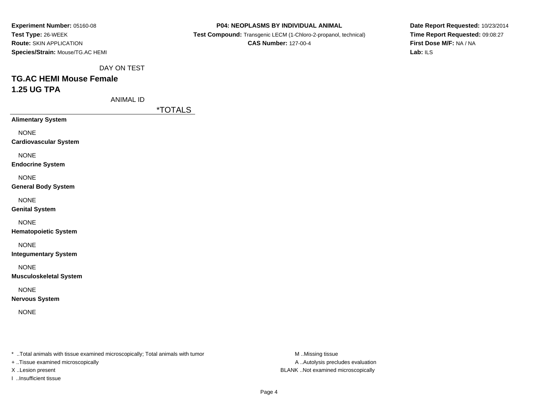| Experiment Number: 05160-08      |
|----------------------------------|
| <b>Test Type: 26-WEEK</b>        |
| <b>Route: SKIN APPLICATION</b>   |
| Species/Strain: Mouse/TG.AC HEMI |

 **Test Compound:** Transgenic LECM (1-Chloro-2-propanol, technical)**CAS Number:** 127-00-4

**Date Report Requested:** 10/23/2014**Time Report Requested:** 09:08:27**First Dose M/F:** NA / NA**Lab:** ILS

DAY ON TEST

# **TG.AC HEMI Mouse Female1.25 UG TPA**

ANIMAL ID

\*TOTALS

**Alimentary System**

NONE

**Cardiovascular System**

NONE

**Endocrine System**

NONE

**General Body System**

NONE

**Genital System**

NONE

**Hematopoietic System**

NONE

**Integumentary System**

NONE

**Musculoskeletal System**

NONE

**Nervous System**

NONE

\* ..Total animals with tissue examined microscopically; Total animals with tumor **M** ..Missing tissue M ..Missing tissue

+ ..Tissue examined microscopically

I ..Insufficient tissue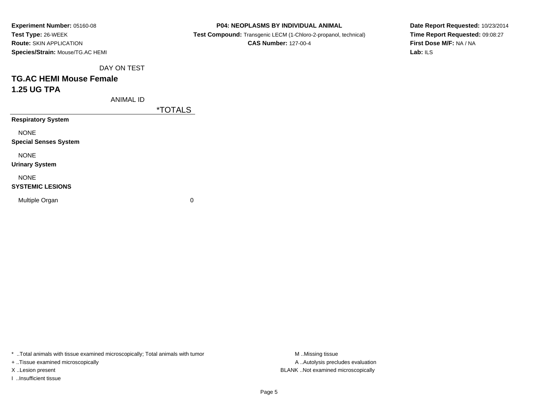| Experiment Number: 05160-08      |
|----------------------------------|
| <b>Test Type: 26-WEEK</b>        |
| <b>Route: SKIN APPLICATION</b>   |
| Species/Strain: Mouse/TG.AC HEMI |

**Test Compound:** Transgenic LECM (1-Chloro-2-propanol, technical)

**CAS Number:** 127-00-4

**Date Report Requested:** 10/23/2014**Time Report Requested:** 09:08:27**First Dose M/F:** NA / NA**Lab:** ILS

DAY ON TEST

# **TG.AC HEMI Mouse Female1.25 UG TPA**

ANIMAL ID

\*TOTALS

**Respiratory System**

NONE

**Special Senses System**

NONE

**Urinary System**

NONE

#### **SYSTEMIC LESIONS**

Multiple Organ

 $\mathbf n$  0

\* ..Total animals with tissue examined microscopically; Total animals with tumor **M** ...Missing tissue M ...Missing tissue

+ ..Tissue examined microscopically

I ..Insufficient tissue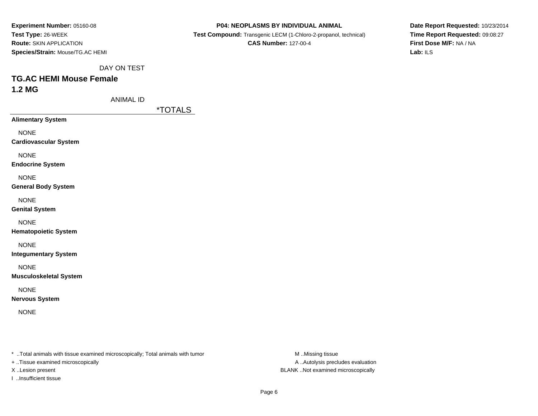| Experiment Number: 05160-08      |
|----------------------------------|
| <b>Test Type: 26-WEEK</b>        |
| <b>Route: SKIN APPLICATION</b>   |
| Species/Strain: Mouse/TG.AC HEMI |

 **Test Compound:** Transgenic LECM (1-Chloro-2-propanol, technical)**CAS Number:** 127-00-4

**Date Report Requested:** 10/23/2014**Time Report Requested:** 09:08:27**First Dose M/F:** NA / NA**Lab:** ILS

DAY ON TEST

## **TG.AC HEMI Mouse Female1.2 MG**

ANIMAL ID

\*TOTALS

**Alimentary System**

NONE

**Cardiovascular System**

NONE

**Endocrine System**

NONE

**General Body System**

NONE

**Genital System**

NONE

**Hematopoietic System**

NONE

**Integumentary System**

NONE

**Musculoskeletal System**

NONE

**Nervous System**

NONE

\* ..Total animals with tissue examined microscopically; Total animals with tumor **M** ..Missing tissue M ..Missing tissue

+ ..Tissue examined microscopically

I ..Insufficient tissue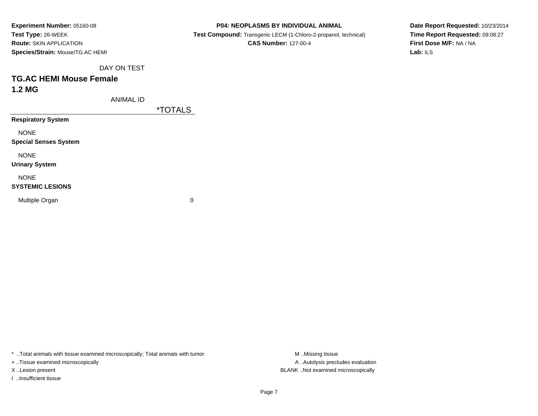| Experiment Number: 05160-08      |
|----------------------------------|
| Test Type: 26-WEEK               |
| <b>Route: SKIN APPLICATION</b>   |
| Species/Strain: Mouse/TG.AC HEMI |

**Test Compound:** Transgenic LECM (1-Chloro-2-propanol, technical)

**CAS Number:** 127-00-4

**Date Report Requested:** 10/23/2014**Time Report Requested:** 09:08:27**First Dose M/F:** NA / NA**Lab:** ILS

DAY ON TEST

## **TG.AC HEMI Mouse Female1.2 MG**

ANIMAL ID

\*TOTALS

**Respiratory System**

NONE

**Special Senses System**

NONE

**Urinary System**

NONE

#### **SYSTEMIC LESIONS**

Multiple Organ

 $\mathbf n$  0

\* ..Total animals with tissue examined microscopically; Total animals with tumor **M** ...Missing tissue M ...Missing tissue

+ ..Tissue examined microscopically

I ..Insufficient tissue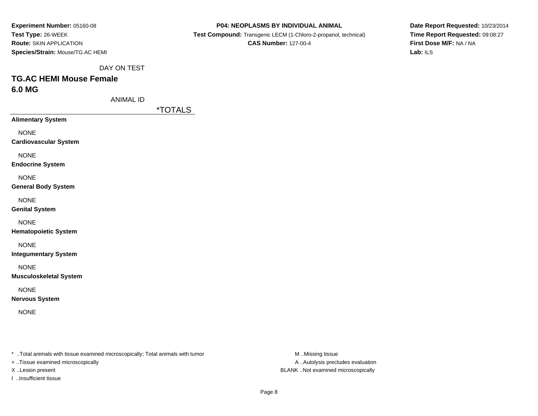| Experiment Number: 05160-08      |
|----------------------------------|
| Test Type: 26-WEEK               |
| <b>Route: SKIN APPLICATION</b>   |
| Species/Strain: Mouse/TG.AC HEMI |

 **Test Compound:** Transgenic LECM (1-Chloro-2-propanol, technical)**CAS Number:** 127-00-4

**Date Report Requested:** 10/23/2014**Time Report Requested:** 09:08:27**First Dose M/F:** NA / NA**Lab:** ILS

DAY ON TEST

## **TG.AC HEMI Mouse Female6.0 MG**

ANIMAL ID

\*TOTALS

**Alimentary System**

NONE

**Cardiovascular System**

NONE

**Endocrine System**

NONE

**General Body System**

NONE

**Genital System**

NONE

**Hematopoietic System**

NONE

**Integumentary System**

NONE

**Musculoskeletal System**

NONE

**Nervous System**

NONE

\* ..Total animals with tissue examined microscopically; Total animals with tumor **M** ..Missing tissue M ..Missing tissue

+ ..Tissue examined microscopically

I ..Insufficient tissue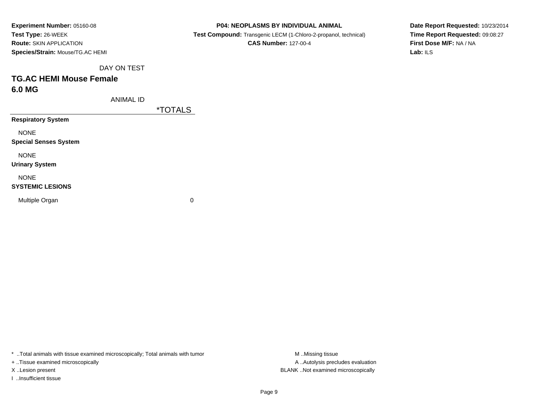| Experiment Number: 05160-08      |
|----------------------------------|
| Test Type: 26-WEEK               |
| <b>Route: SKIN APPLICATION</b>   |
| Species/Strain: Mouse/TG.AC HEMI |

 **Test Compound:** Transgenic LECM (1-Chloro-2-propanol, technical)**CAS Number:** 127-00-4

**Date Report Requested:** 10/23/2014**Time Report Requested:** 09:08:27**First Dose M/F:** NA / NA**Lab:** ILS

DAY ON TEST

## **TG.AC HEMI Mouse Female6.0 MG**

ANIMAL ID

\*TOTALS

**Respiratory System**

NONE

**Special Senses System**

NONE

**Urinary System**

NONE

#### **SYSTEMIC LESIONS**

Multiple Organ

 $\mathbf n$  0

\* ..Total animals with tissue examined microscopically; Total animals with tumor **M** ...Missing tissue M ...Missing tissue

+ ..Tissue examined microscopically

I ..Insufficient tissue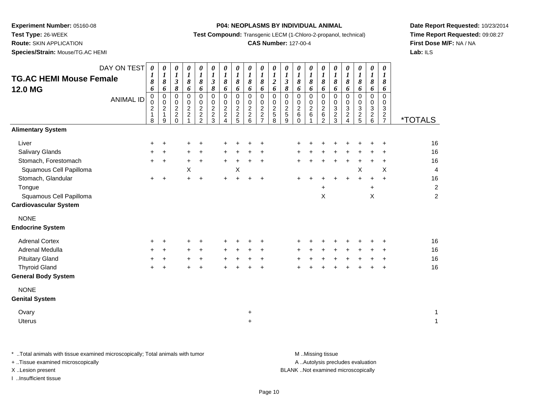**Test Type:** 26-WEEK

**Route:** SKIN APPLICATION

**Species/Strain:** Mouse/TG.AC HEMI

#### **P04: NEOPLASMS BY INDIVIDUAL ANIMAL**

**Test Compound:** Transgenic LECM (1-Chloro-2-propanol, technical)

### **CAS Number:** 127-00-4

**Date Report Requested:** 10/23/2014**Time Report Requested:** 09:08:27**First Dose M/F:** NA / NA**Lab:** ILS

|                                | DAY ON TEST      | $\boldsymbol{\theta}$ | $\boldsymbol{\theta}$              | $\boldsymbol{\theta}$      | $\boldsymbol{\theta}$            | 0              | 0                         | 0              | $\pmb{\theta}$        | 0                | 0                                | 0                                    | $\boldsymbol{\theta}$                    | 0              | 0                       | 0                     | 0                            | $\boldsymbol{\theta}$        | 0                     | $\pmb{\theta}$                | 0              |                       |
|--------------------------------|------------------|-----------------------|------------------------------------|----------------------------|----------------------------------|----------------|---------------------------|----------------|-----------------------|------------------|----------------------------------|--------------------------------------|------------------------------------------|----------------|-------------------------|-----------------------|------------------------------|------------------------------|-----------------------|-------------------------------|----------------|-----------------------|
| <b>TG.AC HEMI Mouse Female</b> |                  | 1<br>8                | $\boldsymbol{l}$<br>$\pmb{8}$      | $\bm{l}$<br>$\mathfrak{z}$ | $\boldsymbol{l}$<br>$\pmb{8}$    | 1<br>8         | 1<br>$\boldsymbol{\beta}$ | 1<br>$\pmb{8}$ | $\boldsymbol{l}$<br>8 | 1<br>8           | $\boldsymbol{l}$<br>8            | $\boldsymbol{l}$<br>$\boldsymbol{2}$ | $\boldsymbol{l}$<br>$\boldsymbol{\beta}$ | 1<br>8         | $\boldsymbol{l}$<br>8   | $\boldsymbol{l}$<br>8 | $\boldsymbol{l}$<br>8        | $\boldsymbol{l}$<br>8        | $\boldsymbol{l}$<br>8 | $\boldsymbol{l}$<br>$\pmb{8}$ | 1<br>$\pmb{8}$ |                       |
| <b>12.0 MG</b>                 |                  | 6                     | 6                                  | 8                          | 6                                | 6              | 8                         | 6              | 6                     | 6                | 6                                | 6                                    | 8                                        | 6              | 6                       | 6                     | 6                            | 6                            | 6                     | 6                             | 6              |                       |
|                                | <b>ANIMAL ID</b> | 0<br>$\pmb{0}$        | $\mathbf 0$<br>$\ddot{\mathbf{0}}$ | $\mathsf 0$<br>$\pmb{0}$   | $\mathbf 0$<br>0                 | 0<br>$\pmb{0}$ | $\pmb{0}$<br>0            | 0<br>$\pmb{0}$ | 0<br>0                | $\mathbf 0$<br>0 | 0<br>$\mathbf 0$                 | 0<br>0                               | $\pmb{0}$<br>$\pmb{0}$                   | 0<br>0         | 0<br>0                  | $\mathbf 0$<br>0      | 0<br>0                       | $\mathbf 0$<br>0             | 0<br>$\mathbf 0$      | 0<br>$\pmb{0}$                | 0<br>0         |                       |
|                                |                  | $\boldsymbol{2}$      | $\sqrt{2}$                         |                            | $\overline{c}$                   | $\mathbf 2$    | $\boldsymbol{2}$          | $\mathbf 2$    | $\overline{c}$        | $\overline{c}$   | $\overline{2}$                   |                                      | $\sqrt{2}$                               | $\overline{c}$ | $\overline{\mathbf{c}}$ | $\overline{c}$        | 3                            | $\mathbf{3}$                 | $\mathbf{3}$          | $\ensuremath{\mathsf{3}}$     | $\sqrt{3}$     |                       |
|                                |                  | $\mathbf{1}$<br>8     | $\mathbf 1$<br>9                   | $\frac{2}{2}$<br>0         | $\overline{c}$<br>$\overline{1}$ | $\frac{2}{2}$  | $\frac{2}{3}$             | $\frac{2}{4}$  | $\frac{2}{5}$         | $\frac{2}{6}$    | $\overline{c}$<br>$\overline{7}$ | $\frac{2}{5}$                        | $\sqrt{5}$<br>9                          | 6<br>$\Omega$  | 6                       | $\,6\,$<br>2          | $\overline{\mathbf{c}}$<br>3 | $\overline{\mathbf{c}}$<br>4 | $\frac{2}{5}$         | $\frac{2}{6}$                 | $\frac{2}{7}$  | <i><b>*TOTALS</b></i> |
| <b>Alimentary System</b>       |                  |                       |                                    |                            |                                  |                |                           |                |                       |                  |                                  |                                      |                                          |                |                         |                       |                              |                              |                       |                               |                |                       |
| Liver                          |                  | +                     | +                                  |                            |                                  |                |                           |                |                       |                  | ÷                                |                                      |                                          |                |                         |                       |                              |                              |                       |                               | +              | 16                    |
| <b>Salivary Glands</b>         |                  | +                     | $\ddot{}$                          |                            | $\ddot{}$                        | $\ddot{}$      |                           | $\pm$          |                       | ÷.               | $\ddot{}$                        |                                      |                                          |                |                         |                       |                              |                              |                       |                               | +              | 16                    |
| Stomach, Forestomach           |                  | $\pm$                 | $\ddot{}$                          |                            | $\ddot{}$                        | $\ddot{}$      |                           | $\pm$          | $\ddot{}$             | $\pm$            | $\ddot{}$                        |                                      |                                          |                |                         |                       |                              |                              |                       |                               | +              | 16                    |
| Squamous Cell Papilloma        |                  |                       |                                    |                            | X                                |                |                           |                | Χ                     |                  |                                  |                                      |                                          |                |                         |                       |                              |                              | Χ                     |                               | X              | 4                     |
| Stomach, Glandular             |                  | $+$                   | $\ddot{}$                          |                            | $\ddot{}$                        | $\ddot{}$      |                           | $\ddot{}$      |                       |                  | $\div$                           |                                      |                                          |                |                         |                       |                              |                              | $+$                   | $\ddot{}$                     | $+$            | 16                    |
| Tongue                         |                  |                       |                                    |                            |                                  |                |                           |                |                       |                  |                                  |                                      |                                          |                |                         | $\ddot{}$             |                              |                              |                       | $\ddot{}$                     |                | $\overline{2}$        |
| Squamous Cell Papilloma        |                  |                       |                                    |                            |                                  |                |                           |                |                       |                  |                                  |                                      |                                          |                |                         | X                     |                              |                              |                       | X                             |                | $\overline{c}$        |
| <b>Cardiovascular System</b>   |                  |                       |                                    |                            |                                  |                |                           |                |                       |                  |                                  |                                      |                                          |                |                         |                       |                              |                              |                       |                               |                |                       |
| <b>NONE</b>                    |                  |                       |                                    |                            |                                  |                |                           |                |                       |                  |                                  |                                      |                                          |                |                         |                       |                              |                              |                       |                               |                |                       |
| <b>Endocrine System</b>        |                  |                       |                                    |                            |                                  |                |                           |                |                       |                  |                                  |                                      |                                          |                |                         |                       |                              |                              |                       |                               |                |                       |
| <b>Adrenal Cortex</b>          |                  | $\ddot{}$             | +                                  |                            |                                  |                |                           |                |                       |                  | ÷                                |                                      |                                          |                |                         |                       |                              |                              |                       |                               | ٠              | 16                    |
| Adrenal Medulla                |                  | $\ddot{}$             | +                                  |                            | $\ddot{}$                        | +              |                           | ٠              |                       |                  | $\pm$                            |                                      |                                          |                |                         |                       |                              |                              |                       |                               | ÷              | 16                    |
| <b>Pituitary Gland</b>         |                  | +                     | +                                  |                            | +                                | +              |                           |                |                       |                  | $\ddot{}$                        |                                      |                                          |                |                         |                       |                              |                              |                       |                               | +              | 16                    |
| <b>Thyroid Gland</b>           |                  | $\pm$                 | $\ddot{}$                          |                            |                                  | $\ddot{}$      |                           | +              |                       |                  | $\ddot{}$                        |                                      |                                          |                |                         |                       |                              |                              |                       | +                             | +              | 16                    |
| <b>General Body System</b>     |                  |                       |                                    |                            |                                  |                |                           |                |                       |                  |                                  |                                      |                                          |                |                         |                       |                              |                              |                       |                               |                |                       |
| <b>NONE</b>                    |                  |                       |                                    |                            |                                  |                |                           |                |                       |                  |                                  |                                      |                                          |                |                         |                       |                              |                              |                       |                               |                |                       |
| <b>Genital System</b>          |                  |                       |                                    |                            |                                  |                |                           |                |                       |                  |                                  |                                      |                                          |                |                         |                       |                              |                              |                       |                               |                |                       |
| Ovary                          |                  |                       |                                    |                            |                                  |                |                           |                |                       | $\ddot{}$        |                                  |                                      |                                          |                |                         |                       |                              |                              |                       |                               |                | 1                     |
| <b>Uterus</b>                  |                  |                       |                                    |                            |                                  |                |                           |                |                       | $\ddot{}$        |                                  |                                      |                                          |                |                         |                       |                              |                              |                       |                               |                | $\mathbf{1}$          |
|                                |                  |                       |                                    |                            |                                  |                |                           |                |                       |                  |                                  |                                      |                                          |                |                         |                       |                              |                              |                       |                               |                |                       |

\* ..Total animals with tissue examined microscopically; Total animals with tumor **M** . Missing tissue M ..Missing tissue

+ ..Tissue examined microscopically

I ..Insufficient tissue

A ..Autolysis precludes evaluation

X ..Lesion present BLANK ..Not examined microscopically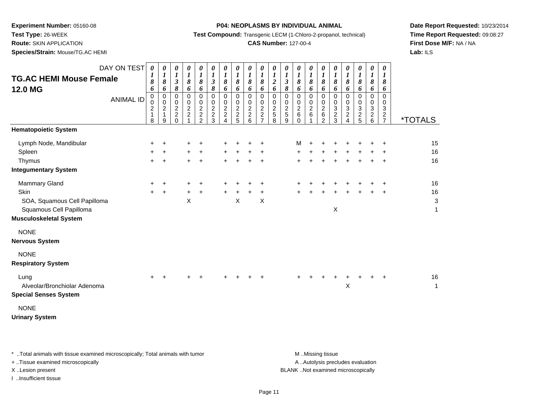**Test Type:** 26-WEEK

**Route:** SKIN APPLICATION

**Species/Strain:** Mouse/TG.AC HEMI

#### **P04: NEOPLASMS BY INDIVIDUAL ANIMAL**

**Test Compound:** Transgenic LECM (1-Chloro-2-propanol, technical)

### **CAS Number:** 127-00-4

**Date Report Requested:** 10/23/2014**Time Report Requested:** 09:08:27**First Dose M/F:** NA / NA**Lab:** ILS

| <b>TG.AC HEMI Mouse Female</b><br>12.0 MG | DAY ON TEST<br><b>ANIMAL ID</b> | $\boldsymbol{\theta}$<br>$\boldsymbol{l}$<br>8<br>6<br>0<br>$\pmb{0}$<br>$\frac{2}{1}$ | 0<br>$\boldsymbol{l}$<br>$\pmb{8}$<br>6<br>$\pmb{0}$<br>$\pmb{0}$<br>$\frac{2}{1}$ | 0<br>$\boldsymbol{l}$<br>$\boldsymbol{\beta}$<br>8<br>$\pmb{0}$<br>0<br>$\frac{2}{2}$ | 0<br>$\boldsymbol{l}$<br>8<br>6<br>0<br>0<br>$\overline{c}$<br>$\overline{c}$ | 0<br>$\boldsymbol{l}$<br>8<br>6<br>$\pmb{0}$<br>0<br>$\overline{c}$<br>$\boldsymbol{2}$ | 0<br>$\boldsymbol{l}$<br>$\boldsymbol{\mathfrak{z}}$<br>8<br>0<br>0<br>$\overline{c}$<br>$\boldsymbol{2}$ | 0<br>$\boldsymbol{l}$<br>8<br>6<br>$\mathbf 0$<br>0<br>$\boldsymbol{2}$<br>$\overline{c}$ | 0<br>$\boldsymbol{l}$<br>8<br>6<br>0<br>0<br>$\overline{c}$<br>$\overline{c}$ | 0<br>$\boldsymbol{l}$<br>8<br>6<br>0<br>0<br>$\overline{c}$<br>$\overline{c}$ | 0<br>$\boldsymbol{l}$<br>8<br>6<br>$\mathbf 0$<br>0<br>$\overline{c}$<br>$\overline{c}$ | 0<br>1<br>$\boldsymbol{2}$<br>6<br>$\Omega$<br>0<br>$\overline{c}$<br>5 | 0<br>$\boldsymbol{l}$<br>$\boldsymbol{\beta}$<br>8<br>$\mathbf 0$<br>0<br>$\overline{c}$<br>5 | 0<br>$\boldsymbol{l}$<br>$\pmb{8}$<br>6<br>0<br>0<br>$\boldsymbol{2}$<br>6 | 0<br>$\boldsymbol{l}$<br>8<br>6<br>$\mathbf 0$<br>0<br>$\boldsymbol{2}$<br>6 | 0<br>$\boldsymbol{l}$<br>8<br>6<br>$\mathbf 0$<br>0<br>$\frac{2}{6}$ | 0<br>$\boldsymbol{l}$<br>8<br>6<br>$\mathbf 0$<br>0<br>3<br>$\overline{c}$ | 0<br>$\boldsymbol{l}$<br>8<br>6<br>0<br>0<br>$\frac{3}{2}$ | 0<br>$\boldsymbol{l}$<br>8<br>6<br>$\mathbf 0$<br>0<br>$\ensuremath{\mathsf{3}}$ | 0<br>$\boldsymbol{l}$<br>8<br>6<br>$\mathbf 0$<br>0<br>3<br>$\overline{c}$ | 0<br>1<br>8<br>6<br>0<br>0<br>3<br>$\overline{c}$ |                       |
|-------------------------------------------|---------------------------------|----------------------------------------------------------------------------------------|------------------------------------------------------------------------------------|---------------------------------------------------------------------------------------|-------------------------------------------------------------------------------|-----------------------------------------------------------------------------------------|-----------------------------------------------------------------------------------------------------------|-------------------------------------------------------------------------------------------|-------------------------------------------------------------------------------|-------------------------------------------------------------------------------|-----------------------------------------------------------------------------------------|-------------------------------------------------------------------------|-----------------------------------------------------------------------------------------------|----------------------------------------------------------------------------|------------------------------------------------------------------------------|----------------------------------------------------------------------|----------------------------------------------------------------------------|------------------------------------------------------------|----------------------------------------------------------------------------------|----------------------------------------------------------------------------|---------------------------------------------------|-----------------------|
|                                           |                                 | 8                                                                                      | $\boldsymbol{9}$                                                                   | $\Omega$                                                                              |                                                                               | $\overline{2}$                                                                          | 3                                                                                                         | 4                                                                                         | 5                                                                             | 6                                                                             | $\overline{7}$                                                                          | 8                                                                       | 9                                                                                             | $\Omega$                                                                   |                                                                              | $\overline{2}$                                                       | 3                                                                          |                                                            | $\frac{2}{5}$                                                                    | 6                                                                          | $\overline{7}$                                    | <i><b>*TOTALS</b></i> |
| <b>Hematopoietic System</b>               |                                 |                                                                                        |                                                                                    |                                                                                       |                                                                               |                                                                                         |                                                                                                           |                                                                                           |                                                                               |                                                                               |                                                                                         |                                                                         |                                                                                               |                                                                            |                                                                              |                                                                      |                                                                            |                                                            |                                                                                  |                                                                            |                                                   |                       |
| Lymph Node, Mandibular                    |                                 | $\pm$                                                                                  | $\ddot{}$                                                                          |                                                                                       | ٠                                                                             |                                                                                         |                                                                                                           |                                                                                           |                                                                               |                                                                               |                                                                                         |                                                                         |                                                                                               | м                                                                          | $\ddot{}$                                                                    |                                                                      |                                                                            |                                                            |                                                                                  |                                                                            |                                                   | 15                    |
| Spleen                                    |                                 | +                                                                                      | $\ddot{}$                                                                          |                                                                                       | +                                                                             |                                                                                         |                                                                                                           |                                                                                           |                                                                               |                                                                               |                                                                                         |                                                                         |                                                                                               | +                                                                          |                                                                              |                                                                      |                                                                            |                                                            |                                                                                  |                                                                            |                                                   | 16                    |
| Thymus                                    |                                 | $\pm$                                                                                  | $\ddot{}$                                                                          |                                                                                       | $\ddot{}$                                                                     | +                                                                                       |                                                                                                           |                                                                                           |                                                                               |                                                                               |                                                                                         |                                                                         |                                                                                               |                                                                            |                                                                              |                                                                      |                                                                            |                                                            |                                                                                  |                                                                            |                                                   | 16                    |
| <b>Integumentary System</b>               |                                 |                                                                                        |                                                                                    |                                                                                       |                                                                               |                                                                                         |                                                                                                           |                                                                                           |                                                                               |                                                                               |                                                                                         |                                                                         |                                                                                               |                                                                            |                                                                              |                                                                      |                                                                            |                                                            |                                                                                  |                                                                            |                                                   |                       |
| Mammary Gland                             |                                 | $+$                                                                                    | $\ddot{}$                                                                          |                                                                                       | ٠                                                                             |                                                                                         |                                                                                                           |                                                                                           |                                                                               |                                                                               |                                                                                         |                                                                         |                                                                                               |                                                                            |                                                                              |                                                                      |                                                                            |                                                            |                                                                                  |                                                                            |                                                   | 16                    |
| Skin                                      |                                 | $+$                                                                                    | $\ddot{}$                                                                          |                                                                                       | $\ddot{}$                                                                     | $\ddot{}$                                                                               |                                                                                                           |                                                                                           | +                                                                             |                                                                               | $\ddot{}$                                                                               |                                                                         |                                                                                               |                                                                            |                                                                              |                                                                      |                                                                            |                                                            |                                                                                  |                                                                            |                                                   | 16                    |
| SOA, Squamous Cell Papilloma              |                                 |                                                                                        |                                                                                    |                                                                                       | X                                                                             |                                                                                         |                                                                                                           |                                                                                           | X                                                                             |                                                                               | X                                                                                       |                                                                         |                                                                                               |                                                                            |                                                                              |                                                                      |                                                                            |                                                            |                                                                                  |                                                                            |                                                   | 3                     |
| Squamous Cell Papilloma                   |                                 |                                                                                        |                                                                                    |                                                                                       |                                                                               |                                                                                         |                                                                                                           |                                                                                           |                                                                               |                                                                               |                                                                                         |                                                                         |                                                                                               |                                                                            |                                                                              |                                                                      | X                                                                          |                                                            |                                                                                  |                                                                            |                                                   | 1                     |
| <b>Musculoskeletal System</b>             |                                 |                                                                                        |                                                                                    |                                                                                       |                                                                               |                                                                                         |                                                                                                           |                                                                                           |                                                                               |                                                                               |                                                                                         |                                                                         |                                                                                               |                                                                            |                                                                              |                                                                      |                                                                            |                                                            |                                                                                  |                                                                            |                                                   |                       |
| <b>NONE</b>                               |                                 |                                                                                        |                                                                                    |                                                                                       |                                                                               |                                                                                         |                                                                                                           |                                                                                           |                                                                               |                                                                               |                                                                                         |                                                                         |                                                                                               |                                                                            |                                                                              |                                                                      |                                                                            |                                                            |                                                                                  |                                                                            |                                                   |                       |
| <b>Nervous System</b>                     |                                 |                                                                                        |                                                                                    |                                                                                       |                                                                               |                                                                                         |                                                                                                           |                                                                                           |                                                                               |                                                                               |                                                                                         |                                                                         |                                                                                               |                                                                            |                                                                              |                                                                      |                                                                            |                                                            |                                                                                  |                                                                            |                                                   |                       |
| <b>NONE</b>                               |                                 |                                                                                        |                                                                                    |                                                                                       |                                                                               |                                                                                         |                                                                                                           |                                                                                           |                                                                               |                                                                               |                                                                                         |                                                                         |                                                                                               |                                                                            |                                                                              |                                                                      |                                                                            |                                                            |                                                                                  |                                                                            |                                                   |                       |
| <b>Respiratory System</b>                 |                                 |                                                                                        |                                                                                    |                                                                                       |                                                                               |                                                                                         |                                                                                                           |                                                                                           |                                                                               |                                                                               |                                                                                         |                                                                         |                                                                                               |                                                                            |                                                                              |                                                                      |                                                                            |                                                            |                                                                                  |                                                                            |                                                   |                       |
| Lung                                      |                                 | $\pm$                                                                                  | ÷                                                                                  |                                                                                       |                                                                               |                                                                                         |                                                                                                           |                                                                                           |                                                                               |                                                                               |                                                                                         |                                                                         |                                                                                               |                                                                            |                                                                              |                                                                      |                                                                            |                                                            |                                                                                  |                                                                            |                                                   | 16                    |
| Alveolar/Bronchiolar Adenoma              |                                 |                                                                                        |                                                                                    |                                                                                       |                                                                               |                                                                                         |                                                                                                           |                                                                                           |                                                                               |                                                                               |                                                                                         |                                                                         |                                                                                               |                                                                            |                                                                              |                                                                      |                                                                            | Χ                                                          |                                                                                  |                                                                            |                                                   | 1                     |
| <b>Special Senses System</b>              |                                 |                                                                                        |                                                                                    |                                                                                       |                                                                               |                                                                                         |                                                                                                           |                                                                                           |                                                                               |                                                                               |                                                                                         |                                                                         |                                                                                               |                                                                            |                                                                              |                                                                      |                                                                            |                                                            |                                                                                  |                                                                            |                                                   |                       |
| <b>NONE</b>                               |                                 |                                                                                        |                                                                                    |                                                                                       |                                                                               |                                                                                         |                                                                                                           |                                                                                           |                                                                               |                                                                               |                                                                                         |                                                                         |                                                                                               |                                                                            |                                                                              |                                                                      |                                                                            |                                                            |                                                                                  |                                                                            |                                                   |                       |

**Urinary System**

\* ..Total animals with tissue examined microscopically; Total animals with tumor **M** . Missing tissue M ..Missing tissue

+ ..Tissue examined microscopically

I ..Insufficient tissue

A ..Autolysis precludes evaluation

X ..Lesion present BLANK ..Not examined microscopically